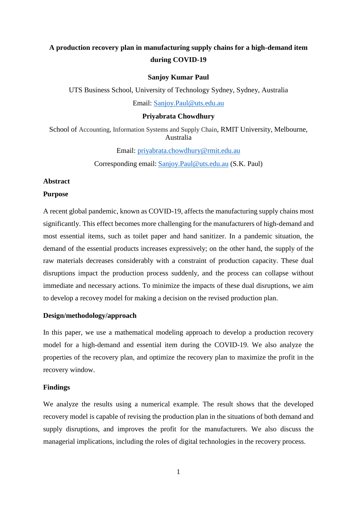# **A production recovery plan in manufacturing supply chains for a high-demand item during COVID-19**

# **Sanjoy Kumar Paul**

UTS Business School, University of Technology Sydney, Sydney, Australia

Email: [Sanjoy.Paul@uts.edu.au](mailto:Sanjoy.Paul@uts.edu.au)

#### **Priyabrata Chowdhury**

School of Accounting, Information Systems and Supply Chain, RMIT University, Melbourne, Australia

Email: [priyabrata.chowdhury@rmit.edu.au](mailto:priyabrata.chowdhury@rmit.edu.au)

Corresponding email: [Sanjoy.Paul@uts.edu.au](mailto:Sanjoy.Paul@uts.edu.au) (S.K. Paul)

# **Abstract**

### **Purpose**

A recent global pandemic, known as COVID-19, affects the manufacturing supply chains most significantly. This effect becomes more challenging for the manufacturers of high-demand and most essential items, such as toilet paper and hand sanitizer. In a pandemic situation, the demand of the essential products increases expressively; on the other hand, the supply of the raw materials decreases considerably with a constraint of production capacity. These dual disruptions impact the production process suddenly, and the process can collapse without immediate and necessary actions. To minimize the impacts of these dual disruptions, we aim to develop a recovey model for making a decision on the revised production plan.

## **Design/methodology/approach**

In this paper, we use a mathematical modeling approach to develop a production recovery model for a high-demand and essential item during the COVID-19. We also analyze the properties of the recovery plan, and optimize the recovery plan to maximize the profit in the recovery window.

## **Findings**

We analyze the results using a numerical example. The result shows that the developed recovery model is capable of revising the production plan in the situations of both demand and supply disruptions, and improves the profit for the manufacturers. We also discuss the managerial implications, including the roles of digital technologies in the recovery process.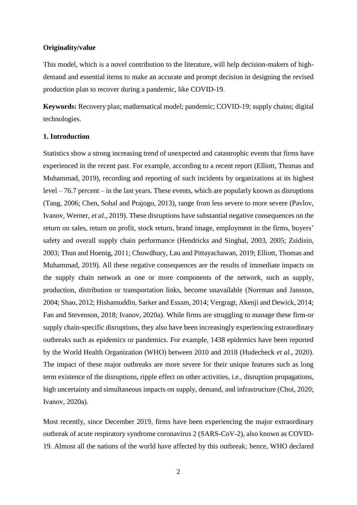## **Originality/value**

This model, which is a novel contribution to the literature, will help decision-makers of highdemand and essential items to make an accurate and prompt decision in designing the revised production plan to recover during a pandemic, like COVID-19.

**Keywords:** Recovery plan; mathematical model; pandemic; COVID-19; supply chains; digital technologies.

## **1. Introduction**

Statistics show a strong increasing trend of unexpected and catastrophic events that firms have experienced in the recent past. For example, according to a recent report (Elliott, Thomas and Muhammad, 2019), recording and reporting of such incidents by organizations at its highest level – 76.7 percent – in the last years. These events, which are popularly known as disruptions (Tang, 2006; Chen, Sohal and Prajogo, 2013), range from less severe to more severe (Pavlov, Ivanov, Werner, *et al.*, 2019). These disruptions have substantial negative consequences on the return on sales, return on profit, stock return, brand image, employment in the firms, buyers' safety and overall supply chain performance (Hendricks and Singhal, 2003, 2005; Zsidisin, 2003; Thun and Hoenig, 2011; Chowdhury, Lau and Pittayachawan, 2019; Elliott, Thomas and Muhammad, 2019). All these negative consequences are the results of immediate impacts on the supply chain network as one or more components of the network, such as supply, production, distribution or transportation links, become unavailable (Norrman and Jansson, 2004; Shao, 2012; Hishamuddin, Sarker and Essam, 2014; Vergragt, Akenji and Dewick, 2014; Fan and Stevenson, 2018; Ivanov, 2020a). While firms are struggling to manage these firm-or supply chain-specific disruptions, they also have been increasingly experiencing extraordinary outbreaks such as epidemics or pandemics. For example, 1438 epidemics have been reported by the World Health Organization (WHO) between 2010 and 2018 (Hudecheck *et al.*, 2020). The impact of these major outbreaks are more severe for their unique features such as long term existence of the disruptions, ripple effect on other activities, i.e., disruption propagations, high uncertainty and simultaneous impacts on supply, demand, and infrastructure (Choi, 2020; Ivanov, 2020a).

Most recently, since December 2019, firms have been experiencing the major extraordinary outbreak of acute respiratory syndrome coronavirus 2 (SARS-CoV-2), also known as COVID-19. Almost all the nations of the world have affected by this outbreak; hence, WHO declared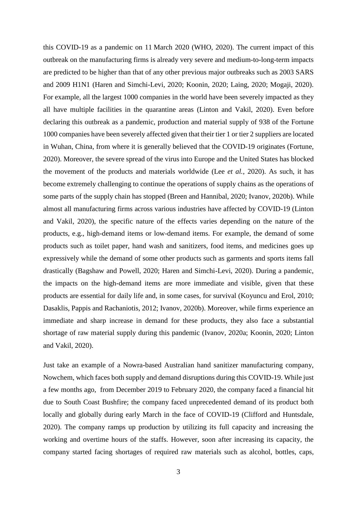this COVID-19 as a pandemic on 11 March 2020 (WHO, 2020). The current impact of this outbreak on the manufacturing firms is already very severe and medium-to-long-term impacts are predicted to be higher than that of any other previous major outbreaks such as 2003 SARS and 2009 H1N1 (Haren and Simchi-Levi, 2020; Koonin, 2020; Laing, 2020; Mogaji, 2020). For example, all the largest 1000 companies in the world have been severely impacted as they all have multiple facilities in the quarantine areas (Linton and Vakil, 2020). Even before declaring this outbreak as a pandemic, production and material supply of 938 of the Fortune 1000 companies have been severely affected given that their tier 1 or tier 2 suppliers are located in Wuhan, China, from where it is generally believed that the COVID-19 originates (Fortune, 2020). Moreover, the severe spread of the virus into Europe and the United States has blocked the movement of the products and materials worldwide (Lee *et al.*, 2020). As such, it has become extremely challenging to continue the operations of supply chains as the operations of some parts of the supply chain has stopped (Breen and Hannibal, 2020; Ivanov, 2020b). While almost all manufacturing firms across various industries have affected by COVID-19 (Linton and Vakil, 2020), the specific nature of the effects varies depending on the nature of the products, e.g., high-demand items or low-demand items. For example, the demand of some products such as toilet paper, hand wash and sanitizers, food items, and medicines goes up expressively while the demand of some other products such as garments and sports items fall drastically (Bagshaw and Powell, 2020; Haren and Simchi-Levi, 2020). During a pandemic, the impacts on the high-demand items are more immediate and visible, given that these products are essential for daily life and, in some cases, for survival (Koyuncu and Erol, 2010; Dasaklis, Pappis and Rachaniotis, 2012; Ivanov, 2020b). Moreover, while firms experience an immediate and sharp increase in demand for these products, they also face a substantial shortage of raw material supply during this pandemic (Ivanov, 2020a; Koonin, 2020; Linton and Vakil, 2020).

Just take an example of a Nowra-based Australian hand sanitizer manufacturing company, Nowchem, which faces both supply and demand disruptions during this COVID-19. While just a few months ago, from December 2019 to February 2020, the company faced a financial hit due to South Coast Bushfire; the company faced unprecedented demand of its product both locally and globally during early March in the face of COVID-19 (Clifford and Huntsdale, 2020). The company ramps up production by utilizing its full capacity and increasing the working and overtime hours of the staffs. However, soon after increasing its capacity, the company started facing shortages of required raw materials such as alcohol, bottles, caps,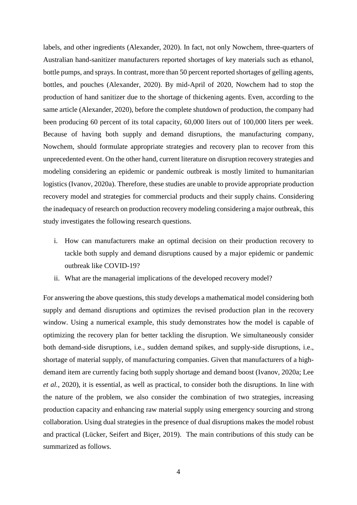labels, and other ingredients (Alexander, 2020). In fact, not only Nowchem, three-quarters of Australian hand-sanitizer manufacturers reported shortages of key materials such as ethanol, bottle pumps, and sprays. In contrast, more than 50 percent reported shortages of gelling agents, bottles, and pouches (Alexander, 2020). By mid-April of 2020, Nowchem had to stop the production of hand sanitizer due to the shortage of thickening agents. Even, according to the same article (Alexander, 2020), before the complete shutdown of production, the company had been producing 60 percent of its total capacity, 60,000 liters out of 100,000 liters per week. Because of having both supply and demand disruptions, the manufacturing company, Nowchem, should formulate appropriate strategies and recovery plan to recover from this unprecedented event. On the other hand, current literature on disruption recovery strategies and modeling considering an epidemic or pandemic outbreak is mostly limited to humanitarian logistics (Ivanov, 2020a). Therefore, these studies are unable to provide appropriate production recovery model and strategies for commercial products and their supply chains. Considering the inadequacy of research on production recovery modeling considering a major outbreak, this study investigates the following research questions.

- i. How can manufacturers make an optimal decision on their production recovery to tackle both supply and demand disruptions caused by a major epidemic or pandemic outbreak like COVID-19?
- ii. What are the managerial implications of the developed recovery model?

For answering the above questions, this study develops a mathematical model considering both supply and demand disruptions and optimizes the revised production plan in the recovery window. Using a numerical example, this study demonstrates how the model is capable of optimizing the recovery plan for better tackling the disruption. We simultaneously consider both demand-side disruptions, i.e., sudden demand spikes, and supply-side disruptions, i.e., shortage of material supply, of manufacturing companies. Given that manufacturers of a highdemand item are currently facing both supply shortage and demand boost (Ivanov, 2020a; Lee *et al.*, 2020), it is essential, as well as practical, to consider both the disruptions. In line with the nature of the problem, we also consider the combination of two strategies, increasing production capacity and enhancing raw material supply using emergency sourcing and strong collaboration. Using dual strategies in the presence of dual disruptions makes the model robust and practical (Lücker, Seifert and Biçer, 2019). The main contributions of this study can be summarized as follows.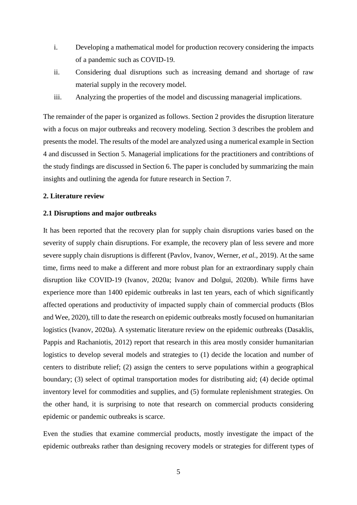- i. Developing a mathematical model for production recovery considering the impacts of a pandemic such as COVID-19.
- ii. Considering dual disruptions such as increasing demand and shortage of raw material supply in the recovery model.
- iii. Analyzing the properties of the model and discussing managerial implications.

The remainder of the paper is organized as follows. Section 2 provides the disruption literature with a focus on major outbreaks and recovery modeling. Section 3 describes the problem and presents the model. The results of the model are analyzed using a numerical example in Section 4 and discussed in Section 5. Managerial implications for the practitioners and contribtions of the study findings are discussed in Section 6. The paper is concluded by summarizing the main insights and outlining the agenda for future research in Section 7.

# **2. Literature review**

#### **2.1 Disruptions and major outbreaks**

It has been reported that the recovery plan for supply chain disruptions varies based on the severity of supply chain disruptions. For example, the recovery plan of less severe and more severe supply chain disruptions is different (Pavlov, Ivanov, Werner, *et al.*, 2019). At the same time, firms need to make a different and more robust plan for an extraordinary supply chain disruption like COVID-19 (Ivanov, 2020a; Ivanov and Dolgui, 2020b). While firms have experience more than 1400 epidemic outbreaks in last ten years, each of which significantly affected operations and productivity of impacted supply chain of commercial products (Blos and Wee, 2020), till to date the research on epidemic outbreaks mostly focused on humanitarian logistics (Ivanov, 2020a). A systematic literature review on the epidemic outbreaks (Dasaklis, Pappis and Rachaniotis, 2012) report that research in this area mostly consider humanitarian logistics to develop several models and strategies to (1) decide the location and number of centers to distribute relief; (2) assign the centers to serve populations within a geographical boundary; (3) select of optimal transportation modes for distributing aid; (4) decide optimal inventory level for commodities and supplies, and (5) formulate replenishment strategies. On the other hand, it is surprising to note that research on commercial products considering epidemic or pandemic outbreaks is scarce.

Even the studies that examine commercial products, mostly investigate the impact of the epidemic outbreaks rather than designing recovery models or strategies for different types of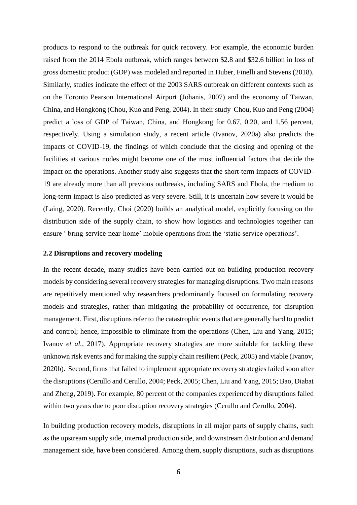products to respond to the outbreak for quick recovery. For example, the economic burden raised from the 2014 Ebola outbreak, which ranges between \$2.8 and \$32.6 billion in loss of gross domestic product (GDP) was modeled and reported in Huber, Finelli and Stevens (2018). Similarly, studies indicate the effect of the 2003 SARS outbreak on different contexts such as on the Toronto Pearson International Airport (Johanis, 2007) and the economy of Taiwan, China, and Hongkong (Chou, Kuo and Peng, 2004). In their study Chou, Kuo and Peng (2004) predict a loss of GDP of Taiwan, China, and Hongkong for 0.67, 0.20, and 1.56 percent, respectively. Using a simulation study, a recent article (Ivanov, 2020a) also predicts the impacts of COVID-19, the findings of which conclude that the closing and opening of the facilities at various nodes might become one of the most influential factors that decide the impact on the operations. Another study also suggests that the short-term impacts of COVID-19 are already more than all previous outbreaks, including SARS and Ebola, the medium to long-term impact is also predicted as very severe. Still, it is uncertain how severe it would be (Laing, 2020). Recently, Choi (2020) builds an analytical model, explicitly focusing on the distribution side of the supply chain, to show how logistics and technologies together can ensure ' bring-service-near-home' mobile operations from the 'static service operations'.

# **2.2 Disruptions and recovery modeling**

In the recent decade, many studies have been carried out on building production recovery models by considering several recovery strategies for managing disruptions. Two main reasons are repetitively mentioned why researchers predominantly focused on formulating recovery models and strategies, rather than mitigating the probability of occurrence, for disruption management. First, disruptions refer to the catastrophic events that are generally hard to predict and control; hence, impossible to eliminate from the operations (Chen, Liu and Yang, 2015; Ivanov *et al.*, 2017). Appropriate recovery strategies are more suitable for tackling these unknown risk events and for making the supply chain resilient (Peck, 2005) and viable (Ivanov, 2020b). Second, firms that failed to implement appropriate recovery strategies failed soon after the disruptions (Cerullo and Cerullo, 2004; Peck, 2005; Chen, Liu and Yang, 2015; Bao, Diabat and Zheng, 2019). For example, 80 percent of the companies experienced by disruptions failed within two years due to poor disruption recovery strategies (Cerullo and Cerullo, 2004).

In building production recovery models, disruptions in all major parts of supply chains, such as the upstream supply side, internal production side, and downstream distribution and demand management side, have been considered. Among them, supply disruptions, such as disruptions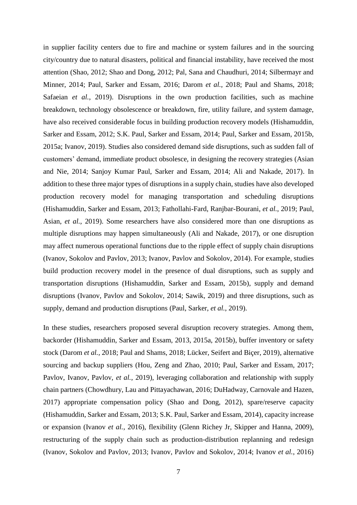in supplier facility centers due to fire and machine or system failures and in the sourcing city/country due to natural disasters, political and financial instability, have received the most attention (Shao, 2012; Shao and Dong, 2012; Pal, Sana and Chaudhuri, 2014; Silbermayr and Minner, 2014; Paul, Sarker and Essam, 2016; Darom *et al.*, 2018; Paul and Shams, 2018; Safaeian *et al.*, 2019). Disruptions in the own production facilities, such as machine breakdown, technology obsolescence or breakdown, fire, utility failure, and system damage, have also received considerable focus in building production recovery models (Hishamuddin, Sarker and Essam, 2012; S.K. Paul, Sarker and Essam, 2014; Paul, Sarker and Essam, 2015b, 2015a; Ivanov, 2019). Studies also considered demand side disruptions, such as sudden fall of customers' demand, immediate product obsolesce, in designing the recovery strategies (Asian and Nie, 2014; Sanjoy Kumar Paul, Sarker and Essam, 2014; Ali and Nakade, 2017). In addition to these three major types of disruptions in a supply chain, studies have also developed production recovery model for managing transportation and scheduling disruptions (Hishamuddin, Sarker and Essam, 2013; Fathollahi-Fard, Ranjbar-Bourani, *et al.*, 2019; Paul, Asian, *et al.*, 2019). Some researchers have also considered more than one disruptions as multiple disruptions may happen simultaneously (Ali and Nakade, 2017), or one disruption may affect numerous operational functions due to the ripple effect of supply chain disruptions (Ivanov, Sokolov and Pavlov, 2013; Ivanov, Pavlov and Sokolov, 2014). For example, studies build production recovery model in the presence of dual disruptions, such as supply and transportation disruptions (Hishamuddin, Sarker and Essam, 2015b), supply and demand disruptions (Ivanov, Pavlov and Sokolov, 2014; Sawik, 2019) and three disruptions, such as supply, demand and production disruptions (Paul, Sarker, *et al.*, 2019).

In these studies, researchers proposed several disruption recovery strategies. Among them, backorder (Hishamuddin, Sarker and Essam, 2013, 2015a, 2015b), buffer inventory or safety stock (Darom *et al.*, 2018; Paul and Shams, 2018; Lücker, Seifert and Biçer, 2019), alternative sourcing and backup suppliers (Hou, Zeng and Zhao, 2010; Paul, Sarker and Essam, 2017; Pavlov, Ivanov, Pavlov, *et al.*, 2019), leveraging collaboration and relationship with supply chain partners (Chowdhury, Lau and Pittayachawan, 2016; DuHadway, Carnovale and Hazen, 2017) appropriate compensation policy (Shao and Dong, 2012), spare/reserve capacity (Hishamuddin, Sarker and Essam, 2013; S.K. Paul, Sarker and Essam, 2014), capacity increase or expansion (Ivanov *et al.*, 2016), flexibility (Glenn Richey Jr, Skipper and Hanna, 2009), restructuring of the supply chain such as production-distribution replanning and redesign (Ivanov, Sokolov and Pavlov, 2013; Ivanov, Pavlov and Sokolov, 2014; Ivanov *et al.*, 2016)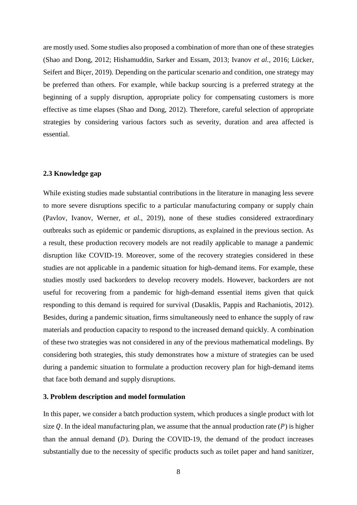are mostly used. Some studies also proposed a combination of more than one of these strategies (Shao and Dong, 2012; Hishamuddin, Sarker and Essam, 2013; Ivanov *et al.*, 2016; Lücker, Seifert and Biçer, 2019). Depending on the particular scenario and condition, one strategy may be preferred than others. For example, while backup sourcing is a preferred strategy at the beginning of a supply disruption, appropriate policy for compensating customers is more effective as time elapses (Shao and Dong, 2012). Therefore, careful selection of appropriate strategies by considering various factors such as severity, duration and area affected is essential.

## **2.3 Knowledge gap**

While existing studies made substantial contributions in the literature in managing less severe to more severe disruptions specific to a particular manufacturing company or supply chain (Pavlov, Ivanov, Werner, *et al.*, 2019), none of these studies considered extraordinary outbreaks such as epidemic or pandemic disruptions, as explained in the previous section. As a result, these production recovery models are not readily applicable to manage a pandemic disruption like COVID-19. Moreover, some of the recovery strategies considered in these studies are not applicable in a pandemic situation for high-demand items. For example, these studies mostly used backorders to develop recovery models. However, backorders are not useful for recovering from a pandemic for high-demand essential items given that quick responding to this demand is required for survival (Dasaklis, Pappis and Rachaniotis, 2012). Besides, during a pandemic situation, firms simultaneously need to enhance the supply of raw materials and production capacity to respond to the increased demand quickly. A combination of these two strategies was not considered in any of the previous mathematical modelings. By considering both strategies, this study demonstrates how a mixture of strategies can be used during a pandemic situation to formulate a production recovery plan for high-demand items that face both demand and supply disruptions.

#### **3. Problem description and model formulation**

In this paper, we consider a batch production system, which produces a single product with lot size Q. In the ideal manufacturing plan, we assume that the annual production rate  $(P)$  is higher than the annual demand  $(D)$ . During the COVID-19, the demand of the product increases substantially due to the necessity of specific products such as toilet paper and hand sanitizer,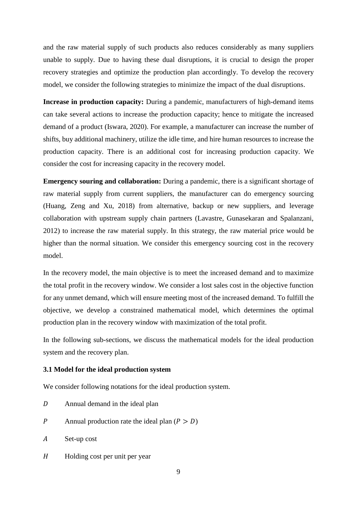and the raw material supply of such products also reduces considerably as many suppliers unable to supply. Due to having these dual disruptions, it is crucial to design the proper recovery strategies and optimize the production plan accordingly. To develop the recovery model, we consider the following strategies to minimize the impact of the dual disruptions.

**Increase in production capacity:** During a pandemic, manufacturers of high-demand items can take several actions to increase the production capacity; hence to mitigate the increased demand of a product (Iswara, 2020). For example, a manufacturer can increase the number of shifts, buy additional machinery, utilize the idle time, and hire human resources to increase the production capacity. There is an additional cost for increasing production capacity. We consider the cost for increasing capacity in the recovery model.

**Emergency souring and collaboration:** During a pandemic, there is a significant shortage of raw material supply from current suppliers, the manufacturer can do emergency sourcing (Huang, Zeng and Xu, 2018) from alternative, backup or new suppliers, and leverage collaboration with upstream supply chain partners (Lavastre, Gunasekaran and Spalanzani, 2012) to increase the raw material supply. In this strategy, the raw material price would be higher than the normal situation. We consider this emergency sourcing cost in the recovery model.

In the recovery model, the main objective is to meet the increased demand and to maximize the total profit in the recovery window. We consider a lost sales cost in the objective function for any unmet demand, which will ensure meeting most of the increased demand. To fulfill the objective, we develop a constrained mathematical model, which determines the optimal production plan in the recovery window with maximization of the total profit.

In the following sub-sections, we discuss the mathematical models for the ideal production system and the recovery plan.

## **3.1 Model for the ideal production system**

We consider following notations for the ideal production system.

- Annual demand in the ideal plan
- P Annual production rate the ideal plan  $(P > D)$
- Set-up cost
- H Holding cost per unit per year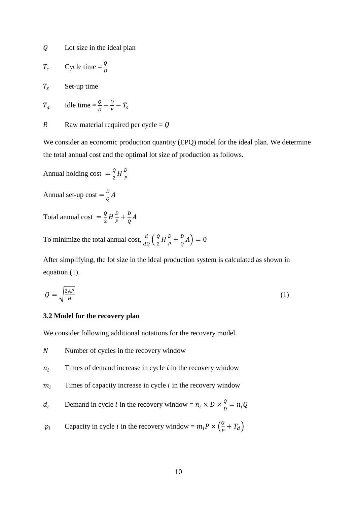Lot size in the ideal plan

$$
T_c \qquad \text{Cycle time} = \frac{Q}{D}
$$

 $T_s$  Set-up time

$$
T_d \qquad \text{Ialle time} = \frac{Q}{D} - \frac{Q}{P} - T_s
$$

$$
R
$$
 Raw material required per cycle =  $Q$ 

We consider an economic production quantity (EPQ) model for the ideal plan. We determine the total annual cost and the optimal lot size of production as follows.

Annual holding cost  $=\frac{Q}{a}$  $\frac{Q}{2}H\frac{D}{P}$  $\boldsymbol{P}$ 

Annual set-up cost  $=\frac{b}{c}$  $\frac{\nu}{Q}A$ 

Total annual cost  $=\frac{Q}{2}$  $\frac{Q}{2}H\frac{D}{P}$  $\frac{D}{P}+\frac{D}{Q}$  $\frac{\nu}{Q}A$ 

To minimize the total annual cost,  $\frac{d}{dQ}(\frac{Q}{2})$  $\frac{Q}{2}H\frac{D}{P}$  $\frac{D}{P}+\frac{D}{Q}$  $\frac{b}{Q}A$ ) = 0

After simplifying, the lot size in the ideal production system is calculated as shown in equation (1).

$$
Q = \sqrt{\frac{2AP}{H}}
$$
 (1)

## **3.2 Model for the recovery plan**

We consider following additional notations for the recovery model.

- $N$  Number of cycles in the recovery window
- $n_i$  Times of demand increase in cycle  $i$  in the recovery window
- $m_i$  Times of capacity increase in cycle *i* in the recovery window

$$
d_i
$$
 Demand in cycle *i* in the recovery window =  $n_i \times D \times \frac{Q}{D} = n_i Q$ 

$$
p_i
$$
 Capacity in cycle *i* in the recovery window =  $m_i P \times \left(\frac{Q}{P} + T_d\right)$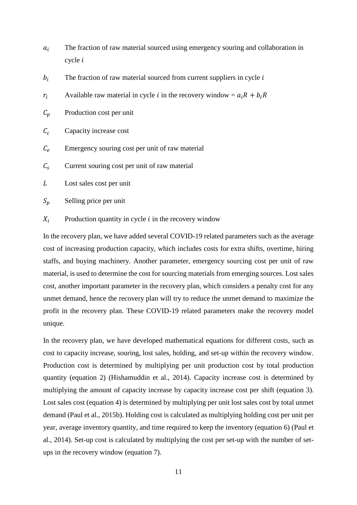- $a_i$  The fraction of raw material sourced using emergency souring and collaboration in  $cycle$   $i$
- $b_i$  The fraction of raw material sourced from current suppliers in cycle i
- $r_i$  Available raw material in cycle *i* in the recovery window =  $a_iR + b_iR$
- $C_p$  Production cost per unit
- $C_c$  Capacity increase cost
- $C_e$  Emergency souring cost per unit of raw material
- $C_s$  Current souring cost per unit of raw material
- L Lost sales cost per unit

 $S_n$  Selling price per unit

 $X_i$  Production quantity in cycle *i* in the recovery window

In the recovery plan, we have added several COVID-19 related parameters such as the average cost of increasing production capacity, which includes costs for extra shifts, overtime, hiring staffs, and buying machinery. Another parameter, emergency sourcing cost per unit of raw material, is used to determine the cost for sourcing materials from emerging sources. Lost sales cost, another important parameter in the recovery plan, which considers a penalty cost for any unmet demand, hence the recovery plan will try to reduce the unmet demand to maximize the profit in the recovery plan. These COVID-19 related parameters make the recovery model unique.

In the recovery plan, we have developed mathematical equations for different costs, such as cost to capacity increase, souring, lost sales, holding, and set-up within the recovery window. Production cost is determined by multiplying per unit production cost by total production quantity (equation 2) (Hishamuddin et al., 2014). Capacity increase cost is determined by multiplying the amount of capacity increase by capacity increase cost per shift (equation 3). Lost sales cost (equation 4) is determined by multiplying per unit lost sales cost by total unmet demand (Paul et al., 2015b). Holding cost is calculated as multiplying holding cost per unit per year, average inventory quantity, and time required to keep the inventory (equation 6) (Paul et al., 2014). Set-up cost is calculated by multiplying the cost per set-up with the number of setups in the recovery window (equation 7).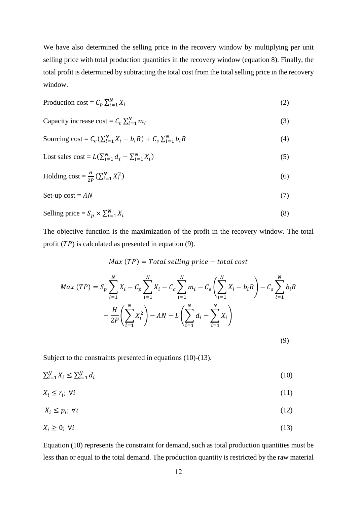We have also determined the selling price in the recovery window by multiplying per unit selling price with total production quantities in the recovery window (equation 8). Finally, the total profit is determined by subtracting the total cost from the total selling price in the recovery window.

$$
Production cost = C_p \sum_{i=1}^{N} X_i
$$
 (2)

Capacity increase cost = 
$$
C_c \sum_{i=1}^{N} m_i
$$
 (3)

$$
\text{Sourceing cost} = C_e \left( \sum_{i=1}^{N} X_i - b_i R \right) + C_s \sum_{i=1}^{N} b_i R \tag{4}
$$

$$
Cost sales cost = L(\sum_{i=1}^{N} d_i - \sum_{i=1}^{N} X_i)
$$
\n<sup>(5)</sup>

Holding cost = 
$$
\frac{H}{2P} (\sum_{i=1}^{N} X_i^2)
$$
 (6)

Set-up cost = 
$$
AN
$$
 (7)

$$
\text{Selling price} = S_p \times \sum_{i=1}^{N} X_i \tag{8}
$$

The objective function is the maximization of the profit in the recovery window. The total profit  $(TP)$  is calculated as presented in equation (9).

# $Max(TP) = Total selling price - total cost$

$$
Max (TP) = S_p \sum_{i=1}^{N} X_i - C_p \sum_{i=1}^{N} X_i - C_c \sum_{i=1}^{N} m_i - C_e \left( \sum_{i=1}^{N} X_i - b_i R \right) - C_s \sum_{i=1}^{N} b_i R
$$

$$
- \frac{H}{2P} \left( \sum_{i=1}^{N} X_i^2 \right) - AN - L \left( \sum_{i=1}^{N} d_i - \sum_{i=1}^{N} X_i \right)
$$

(9)

Subject to the constraints presented in equations (10)-(13).

$$
\sum_{i=1}^{N} X_i \le \sum_{i=1}^{N} d_i \tag{10}
$$

$$
X_i \leq r_i; \ \forall i \tag{11}
$$

$$
X_i \le p_i; \,\forall i \tag{12}
$$

$$
X_i \geq 0; \ \forall i \tag{13}
$$

Equation (10) represents the constraint for demand, such as total production quantities must be less than or equal to the total demand. The production quantity is restricted by the raw material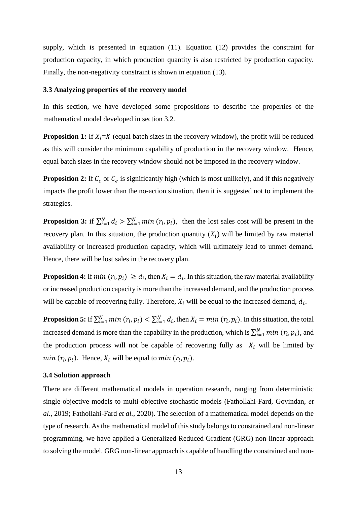supply, which is presented in equation (11). Equation (12) provides the constraint for production capacity, in which production quantity is also restricted by production capacity. Finally, the non-negativity constraint is shown in equation (13).

#### **3.3 Analyzing properties of the recovery model**

In this section, we have developed some propositions to describe the properties of the mathematical model developed in section 3.2.

**Proposition 1:** If  $X_i = X$  (equal batch sizes in the recovery window), the profit will be reduced as this will consider the minimum capability of production in the recovery window. Hence, equal batch sizes in the recovery window should not be imposed in the recovery window.

**Proposition 2:** If  $C_c$  or  $C_e$  is significantly high (which is most unlikely), and if this negatively impacts the profit lower than the no-action situation, then it is suggested not to implement the strategies.

**Proposition 3:** if  $\sum_{i=1}^{N} d_i > \sum_{i=1}^{N} min(r_i, p_i)$ , then the lost sales cost will be present in the recovery plan. In this situation, the production quantity  $(X_i)$  will be limited by raw material availability or increased production capacity, which will ultimately lead to unmet demand. Hence, there will be lost sales in the recovery plan.

**Proposition 4:** If  $min(r_i, p_i) \ge d_i$ , then  $X_i = d_i$ . In this situation, the raw material availability or increased production capacity is more than the increased demand, and the production process will be capable of recovering fully. Therefore,  $X_i$  will be equal to the increased demand,  $d_i$ .

**Proposition 5:** If  $\sum_{i=1}^{N} min(r_i, p_i) < \sum_{i=1}^{N} d_i$ , then  $X_i = min(r_i, p_i)$ . In this situation, the total increased demand is more than the capability in the production, which is  $\sum_{i=1}^{N} min (r_i, p_i)$ , and the production process will not be capable of recovering fully as  $X_i$  will be limited by *min*  $(r_i, p_i)$ . Hence,  $X_i$  will be equal to *min*  $(r_i, p_i)$ .

#### **3.4 Solution approach**

There are different mathematical models in operation research, ranging from deterministic single-objective models to multi-objective stochastic models (Fathollahi-Fard, Govindan, *et al.*, 2019; Fathollahi-Fard *et al.*, 2020). The selection of a mathematical model depends on the type of research. As the mathematical model of this study belongs to constrained and non-linear programming, we have applied a Generalized Reduced Gradient (GRG) non-linear approach to solving the model. GRG non-linear approach is capable of handling the constrained and non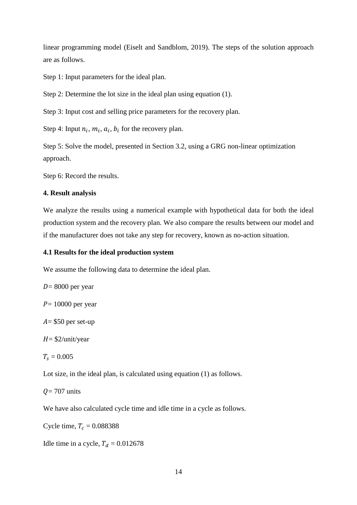linear programming model (Eiselt and Sandblom, 2019). The steps of the solution approach are as follows.

Step 1: Input parameters for the ideal plan.

Step 2: Determine the lot size in the ideal plan using equation (1).

Step 3: Input cost and selling price parameters for the recovery plan.

Step 4: Input  $n_i$ ,  $m_i$ ,  $a_i$ ,  $b_i$  for the recovery plan.

Step 5: Solve the model, presented in Section 3.2, using a GRG non-linear optimization approach.

Step 6: Record the results.

# **4. Result analysis**

We analyze the results using a numerical example with hypothetical data for both the ideal production system and the recovery plan. We also compare the results between our model and if the manufacturer does not take any step for recovery, known as no-action situation.

# **4.1 Results for the ideal production system**

We assume the following data to determine the ideal plan.

 $D = 8000$  per year

 $P = 10000$  per year

 $A = $50$  per set-up

 $H = \frac{2}{\text{unit}}$ /year

 $T_s = 0.005$ 

Lot size, in the ideal plan, is calculated using equation (1) as follows.

 $Q = 707$  units

We have also calculated cycle time and idle time in a cycle as follows.

Cycle time,  $T_c = 0.088388$ 

Idle time in a cycle,  $T_d = 0.012678$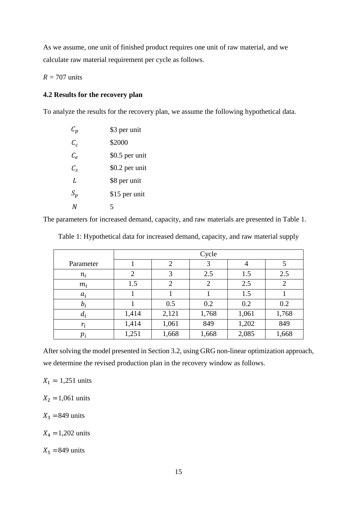As we assume, one unit of finished product requires one unit of raw material, and we calculate raw material requirement per cycle as follows.

 $R = 707$  units

# **4.2 Results for the recovery plan**

To analyze the results for the recovery plan, we assume the following hypothetical data.

| $\mathcal{C}_{\bm{p}}$    | \$3 per unit   |
|---------------------------|----------------|
| $C_{c}$                   | \$2000         |
| $\mathcal{C}_{\rho}$      | \$0.5 per unit |
| $\mathcal{C}_{\varsigma}$ | \$0.2 per unit |
| L                         | \$8 per unit   |
| $S_p$                     | \$15 per unit  |
| N                         | 5              |

The parameters for increased demand, capacity, and raw materials are presented in Table 1.

|           | Cycle          |                |                |       |                |
|-----------|----------------|----------------|----------------|-------|----------------|
| Parameter |                | $\overline{2}$ | 3              | 4     |                |
| $n_i$     | $\overline{2}$ | 3              | 2.5            | 1.5   | 2.5            |
| $m_i$     | 1.5            | $\overline{2}$ | $\overline{2}$ | 2.5   | $\overline{2}$ |
| $a_i$     |                |                |                | 1.5   |                |
| $b_i$     |                | 0.5            | 0.2            | 0.2   | 0.2            |
| $d_i$     | 1,414          | 2,121          | 1,768          | 1,061 | 1,768          |
| $r_i$     | 1,414          | 1,061          | 849            | 1,202 | 849            |
| $p_i$     | 1,251          | 1,668          | 1,668          | 2,085 | 1,668          |

Table 1: Hypothetical data for increased demand, capacity, and raw material supply

After solving the model presented in Section 3.2, using GRG non-linear optimization approach, we determine the revised production plan in the recovery window as follows.

 $X_1 = 1,251 \text{ units}$ 

 $X_2 = 1,061$  units

 $X_3$  =849 units

 $X_4 = 1,202 \text{ units}$ 

 $X_5 = 849$  units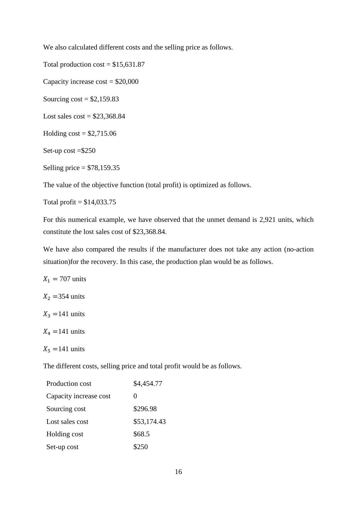We also calculated different costs and the selling price as follows.

Total production  $cost = $15,631.87$ 

Capacity increase  $cost = $20,000$ 

Sourcing  $cost = $2,159.83$ 

Lost sales  $cost = $23,368.84$ 

Holding  $cost = $2,715.06$ 

Set-up cost =\$250

Selling price = \$78,159.35

The value of the objective function (total profit) is optimized as follows.

Total profit  $=$  \$14,033.75

For this numerical example, we have observed that the unmet demand is 2,921 units, which constitute the lost sales cost of \$23,368.84.

We have also compared the results if the manufacturer does not take any action (no-action situation)for the recovery. In this case, the production plan would be as follows.

 $X_1 = 707$  units

 $X_2$  = 354 units

 $X_3$  =141 units

 $X_4$  =141 units

 $X_5$  =141 units

The different costs, selling price and total profit would be as follows.

| Production cost        | \$4,454.77  |  |
|------------------------|-------------|--|
| Capacity increase cost | $\theta$    |  |
| Sourcing cost          | \$296.98    |  |
| Lost sales cost        | \$53,174.43 |  |
| Holding cost           | \$68.5      |  |
| Set-up cost            | \$250       |  |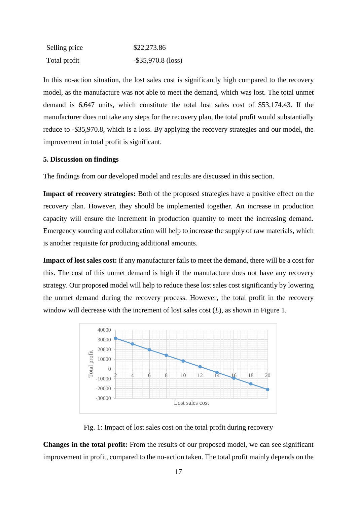| Selling price | \$22,273.86           |  |
|---------------|-----------------------|--|
| Total profit  | $-$ \$35,970.8 (loss) |  |

In this no-action situation, the lost sales cost is significantly high compared to the recovery model, as the manufacture was not able to meet the demand, which was lost. The total unmet demand is 6,647 units, which constitute the total lost sales cost of \$53,174.43. If the manufacturer does not take any steps for the recovery plan, the total profit would substantially reduce to -\$35,970.8, which is a loss. By applying the recovery strategies and our model, the improvement in total profit is significant.

#### **5. Discussion on findings**

The findings from our developed model and results are discussed in this section.

**Impact of recovery strategies:** Both of the proposed strategies have a positive effect on the recovery plan. However, they should be implemented together. An increase in production capacity will ensure the increment in production quantity to meet the increasing demand. Emergency sourcing and collaboration will help to increase the supply of raw materials, which is another requisite for producing additional amounts.

**Impact of lost sales cost:** if any manufacturer fails to meet the demand, there will be a cost for this. The cost of this unmet demand is high if the manufacture does not have any recovery strategy. Our proposed model will help to reduce these lost sales cost significantly by lowering the unmet demand during the recovery process. However, the total profit in the recovery window will decrease with the increment of lost sales cost  $(L)$ , as shown in Figure 1.



Fig. 1: Impact of lost sales cost on the total profit during recovery

**Changes in the total profit:** From the results of our proposed model, we can see significant improvement in profit, compared to the no-action taken. The total profit mainly depends on the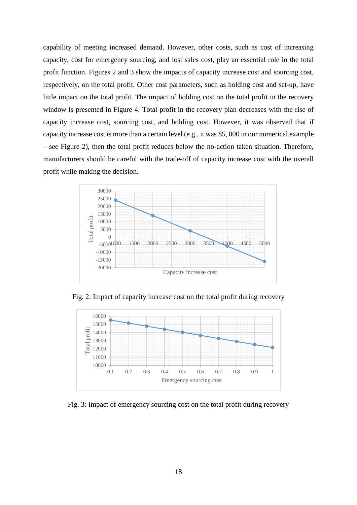capability of meeting increased demand. However, other costs, such as cost of increasing capacity, cost for emergency sourcing, and lost sales cost, play an essential role in the total profit function. Figures 2 and 3 show the impacts of capacity increase cost and sourcing cost, respectively, on the total profit. Other cost parameters, such as holding cost and set-up, have little impact on the total profit. The impact of holding cost on the total profit in the recovery window is presented in Figure 4. Total profit in the recovery plan decreases with the rise of capacity increase cost, sourcing cost, and holding cost. However, it was observed that if capacity increase cost is more than a certain level (e.g., it was \$5, 000 in our numerical example – see Figure 2), then the total profit reduces below the no-action taken situation. Therefore, manufacturers should be careful with the trade-off of capacity increase cost with the overall profit while making the decision.



Fig. 2: Impact of capacity increase cost on the total profit during recovery



Fig. 3: Impact of emergency sourcing cost on the total profit during recovery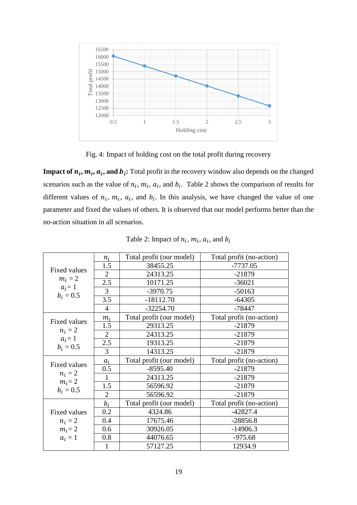

Fig. 4: Impact of holding cost on the total profit during recovery

**Impact of**  $n_i$ **,**  $m_i$ **,**  $a_i$ **, and**  $b_i$ **: Total profit in the recovery window also depends on the changed** scenarios such as the value of  $n_i$ ,  $m_i$ ,  $a_i$ , and  $b_i$ . Table 2 shows the comparison of results for different values of  $n_i$ ,  $m_i$ ,  $a_i$ , and  $b_i$ . In this analysis, we have changed the value of one parameter and fixed the values of others. It is observed that our model performs better than the no-action situation in all scenarios.

| <b>Fixed values</b><br>$m_i = 2$<br>$a_i = 1$         | $n_i$          | Total profit (our model) | Total profit (no-action) |
|-------------------------------------------------------|----------------|--------------------------|--------------------------|
|                                                       | 1.5            | 38455.25                 | $-7737.05$               |
|                                                       | 2              | 24313.25                 | $-21879$                 |
|                                                       | 2.5            | 10171.25                 | $-36021$                 |
|                                                       | 3              | $-3970.75$               | $-50163$                 |
| $b_i = 0.5$                                           | 3.5            | $-18112.70$              | $-64305$                 |
|                                                       | 4              | $-32254.70$              | $-78447$                 |
| <b>Fixed values</b>                                   | $m_i$          | Total profit (our model) | Total profit (no-action) |
|                                                       | 1.5            | 29313.25                 | $-21879$                 |
| $n_i=2$                                               | $\overline{2}$ | 24313.25                 | $-21879$                 |
| $a_i = 1$<br>$b_i = 0.5$                              | 2.5            | 19313.25                 | $-21879$                 |
|                                                       | 3              | 14313.25                 | $-21879$                 |
| Fixed values<br>$n_i = 2$<br>$m_i = 2$<br>$b_i = 0.5$ | $a_i$          | Total profit (our model) | Total profit (no-action) |
|                                                       | 0.5            | $-8595.40$               | $-21879$                 |
|                                                       | 1              | 24313.25                 | $-21879$                 |
|                                                       | 1.5            | 56596.92                 | $-21879$                 |
|                                                       | $\overline{2}$ | 56596.92                 | $-21879$                 |
| <b>Fixed values</b><br>$n_i=2$                        | $b_i$          | Total profit (our model) | Total profit (no-action) |
|                                                       | 0.2            | 4324.86                  | $-42827.4$               |
|                                                       | 0.4            | 17675.46                 | $-28856.8$               |
| $m_i = 2$                                             | 0.6            | 30926.05                 | $-14906.3$               |
| $a_i = 1$                                             | 0.8            | 44076.65                 | $-975.68$                |
|                                                       |                | 57127.25                 | 12934.9                  |
|                                                       |                |                          |                          |

Table 2: Impact of  $n_i$ ,  $m_i$ ,  $a_i$ , and  $b_i$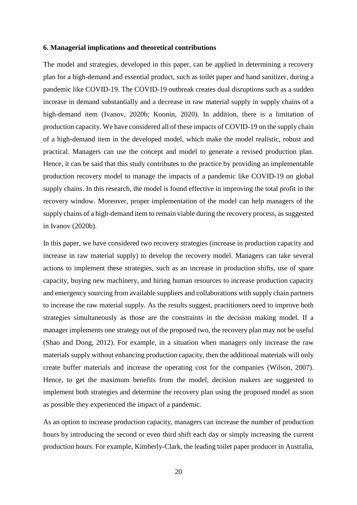#### **6. Managerial implications and theoretical contributions**

The model and strategies, developed in this paper, can be applied in determining a recovery plan for a high-demand and essential product, such as toilet paper and hand sanitizer, during a pandemic like COVID-19. The COVID-19 outbreak creates dual disruptions such as a sudden increase in demand substantially and a decrease in raw material supply in supply chains of a high-demand item (Ivanov, 2020b; Koonin, 2020). In addition, there is a limitation of production capacity. We have considered all of these impacts of COVID-19 on the supply chain of a high-demand item in the developed model, which make the model realistic, robust and practical. Managers can use the concept and model to generate a revised production plan. Hence, it can be said that this study contributes to the practice by providing an implementable production recovery model to manage the impacts of a pandemic like COVID-19 on global supply chains. In this research, the model is found effective in improving the total profit in the recovery window. Moreover, proper implementation of the model can help managers of the supply chains of a high-demand item to remain viable during the recovery process, as suggested in Ivanov (2020b).

In this paper, we have considered two recovery strategies (increase in production capacity and increase in raw material supply) to develop the recovery model. Managers can take several actions to implement these strategies, such as an increase in production shifts, use of spare capacity, buying new machinery, and hiring human resources to increase production capacity and emergency sourcing from available suppliers and collaborations with supply chain partners to increase the raw material supply. As the results suggest, practitioners need to improve both strategies simultaneously as those are the constraints in the decision making model. If a manager implements one strategy out of the proposed two, the recovery plan may not be useful (Shao and Dong, 2012). For example, in a situation when managers only increase the raw materials supply without enhancing production capacity, then the additional materials will only create buffer materials and increase the operating cost for the companies (Wilson, 2007). Hence, to get the maximum benefits from the model, decision makers are suggested to implement both strategies and determine the recovery plan using the proposed model as soon as possible they experienced the impact of a pandemic.

As an option to increase production capacity, managers can increase the number of production hours by introducing the second or even third shift each day or simply increasing the current production hours. For example, Kimberly-Clark, the leading toilet paper producer in Australia,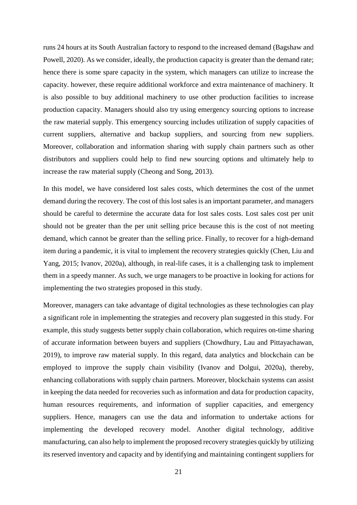runs 24 hours at its South Australian factory to respond to the increased demand (Bagshaw and Powell, 2020). As we consider, ideally, the production capacity is greater than the demand rate; hence there is some spare capacity in the system, which managers can utilize to increase the capacity. however, these require additional workforce and extra maintenance of machinery. It is also possible to buy additional machinery to use other production facilities to increase production capacity. Managers should also try using emergency sourcing options to increase the raw material supply. This emergency sourcing includes utilization of supply capacities of current suppliers, alternative and backup suppliers, and sourcing from new suppliers. Moreover, collaboration and information sharing with supply chain partners such as other distributors and suppliers could help to find new sourcing options and ultimately help to increase the raw material supply (Cheong and Song, 2013).

In this model, we have considered lost sales costs, which determines the cost of the unmet demand during the recovery. The cost of this lost sales is an important parameter, and managers should be careful to determine the accurate data for lost sales costs. Lost sales cost per unit should not be greater than the per unit selling price because this is the cost of not meeting demand, which cannot be greater than the selling price. Finally, to recover for a high-demand item during a pandemic, it is vital to implement the recovery strategies quickly (Chen, Liu and Yang, 2015; Ivanov, 2020a), although, in real-life cases, it is a challenging task to implement them in a speedy manner. As such, we urge managers to be proactive in looking for actions for implementing the two strategies proposed in this study.

Moreover, managers can take advantage of digital technologies as these technologies can play a significant role in implementing the strategies and recovery plan suggested in this study. For example, this study suggests better supply chain collaboration, which requires on-time sharing of accurate information between buyers and suppliers (Chowdhury, Lau and Pittayachawan, 2019), to improve raw material supply. In this regard, data analytics and blockchain can be employed to improve the supply chain visibility (Ivanov and Dolgui, 2020a), thereby, enhancing collaborations with supply chain partners. Moreover, blockchain systems can assist in keeping the data needed for recoveries such as information and data for production capacity, human resources requirements, and information of supplier capacities, and emergency suppliers. Hence, managers can use the data and information to undertake actions for implementing the developed recovery model. Another digital technology, additive manufacturing, can also help to implement the proposed recovery strategies quickly by utilizing its reserved inventory and capacity and by identifying and maintaining contingent suppliers for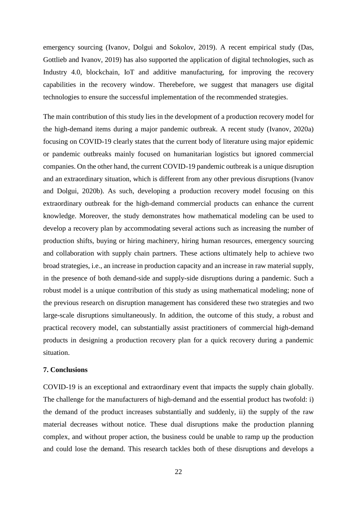emergency sourcing (Ivanov, Dolgui and Sokolov, 2019). A recent empirical study (Das, Gottlieb and Ivanov, 2019) has also supported the application of digital technologies, such as Industry 4.0, blockchain, IoT and additive manufacturing, for improving the recovery capabilities in the recovery window. Therebefore, we suggest that managers use digital technologies to ensure the successful implementation of the recommended strategies.

The main contribution of this study lies in the development of a production recovery model for the high-demand items during a major pandemic outbreak. A recent study (Ivanov, 2020a) focusing on COVID-19 clearly states that the current body of literature using major epidemic or pandemic outbreaks mainly focused on humanitarian logistics but ignored commercial companies. On the other hand, the current COVID-19 pandemic outbreak is a unique disruption and an extraordinary situation, which is different from any other previous disruptions (Ivanov and Dolgui, 2020b). As such, developing a production recovery model focusing on this extraordinary outbreak for the high-demand commercial products can enhance the current knowledge. Moreover, the study demonstrates how mathematical modeling can be used to develop a recovery plan by accommodating several actions such as increasing the number of production shifts, buying or hiring machinery, hiring human resources, emergency sourcing and collaboration with supply chain partners. These actions ultimately help to achieve two broad strategies, i.e., an increase in production capacity and an increase in raw material supply, in the presence of both demand-side and supply-side disruptions during a pandemic. Such a robust model is a unique contribution of this study as using mathematical modeling; none of the previous research on disruption management has considered these two strategies and two large-scale disruptions simultaneously. In addition, the outcome of this study, a robust and practical recovery model, can substantially assist practitioners of commercial high-demand products in designing a production recovery plan for a quick recovery during a pandemic situation.

#### **7. Conclusions**

COVID-19 is an exceptional and extraordinary event that impacts the supply chain globally. The challenge for the manufacturers of high-demand and the essential product has twofold: i) the demand of the product increases substantially and suddenly, ii) the supply of the raw material decreases without notice. These dual disruptions make the production planning complex, and without proper action, the business could be unable to ramp up the production and could lose the demand. This research tackles both of these disruptions and develops a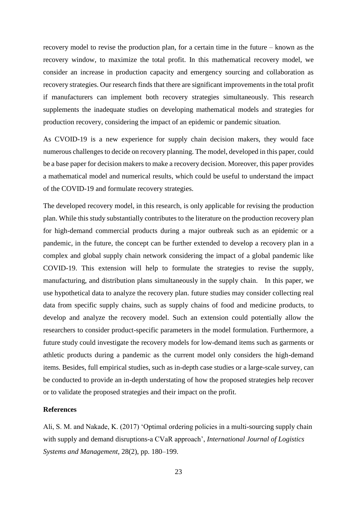recovery model to revise the production plan, for a certain time in the future – known as the recovery window, to maximize the total profit. In this mathematical recovery model, we consider an increase in production capacity and emergency sourcing and collaboration as recovery strategies. Our research finds that there are significant improvements in the total profit if manufacturers can implement both recovery strategies simultaneously. This research supplements the inadequate studies on developing mathematical models and strategies for production recovery, considering the impact of an epidemic or pandemic situation.

As CVOID-19 is a new experience for supply chain decision makers, they would face numerous challenges to decide on recovery planning. The model, developed in this paper, could be a base paper for decision makers to make a recovery decision. Moreover, this paper provides a mathematical model and numerical results, which could be useful to understand the impact of the COVID-19 and formulate recovery strategies.

The developed recovery model, in this research, is only applicable for revising the production plan. While this study substantially contributes to the literature on the production recovery plan for high-demand commercial products during a major outbreak such as an epidemic or a pandemic, in the future, the concept can be further extended to develop a recovery plan in a complex and global supply chain network considering the impact of a global pandemic like COVID-19. This extension will help to formulate the strategies to revise the supply, manufacturing, and distribution plans simultaneously in the supply chain. In this paper, we use hypothetical data to analyze the recovery plan. future studies may consider collecting real data from specific supply chains, such as supply chains of food and medicine products, to develop and analyze the recovery model. Such an extension could potentially allow the researchers to consider product-specific parameters in the model formulation. Furthermore, a future study could investigate the recovery models for low-demand items such as garments or athletic products during a pandemic as the current model only considers the high-demand items. Besides, full empirical studies, such as in-depth case studies or a large-scale survey, can be conducted to provide an in-depth understating of how the proposed strategies help recover or to validate the proposed strategies and their impact on the profit.

# **References**

Ali, S. M. and Nakade, K. (2017) 'Optimal ordering policies in a multi-sourcing supply chain with supply and demand disruptions-a CVaR approach', *International Journal of Logistics Systems and Management*, 28(2), pp. 180–199.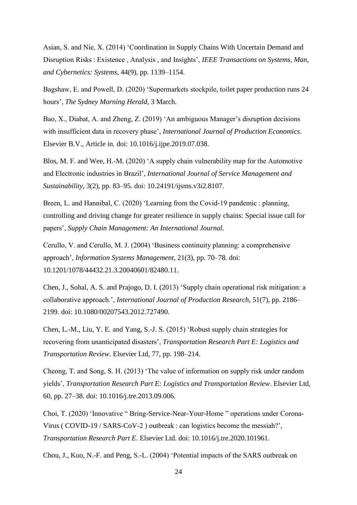Asian, S. and Nie, X. (2014) 'Coordination in Supply Chains With Uncertain Demand and Disruption Risks : Existence , Analysis , and Insights', *IEEE Transactions on Systems, Man, and Cybernetics: Systems*, 44(9), pp. 1139–1154.

Bagshaw, E. and Powell, D. (2020) 'Supermarkets stockpile, toilet paper production runs 24 hours', *The Sydney Morning Herald*, 3 March.

Bao, X., Diabat, A. and Zheng, Z. (2019) 'An ambiguous Manager's disruption decisions with insufficient data in recovery phase', *International Journal of Production Economics*. Elsevier B.V., Article in. doi: 10.1016/j.ijpe.2019.07.038.

Blos, M. F. and Wee, H.-M. (2020) 'A supply chain vulnerability map for the Automotive and Electronic industries in Brazil', *International Journal of Service Management and Sustainability*, 3(2), pp. 83–95. doi: 10.24191/ijsms.v3i2.8107.

Breen, L. and Hannibal, C. (2020) 'Learning from the Covid-19 pandemic : planning, controlling and driving change for greater resilience in supply chains: Special issue call for papers', *Supply Chain Management: An International Journal*.

Cerullo, V. and Cerullo, M. J. (2004) 'Business continuity planning: a comprehensive approach', *Information Systems Management*, 21(3), pp. 70–78. doi: 10.1201/1078/44432.21.3.20040601/82480.11.

Chen, J., Sohal, A. S. and Prajogo, D. I. (2013) 'Supply chain operational risk mitigation: a collaborative approach.', *International Journal of Production Research*, 51(7), pp. 2186– 2199. doi: 10.1080/00207543.2012.727490.

Chen, L.-M., Liu, Y. E. and Yang, S.-J. S. (2015) 'Robust supply chain strategies for recovering from unanticipated disasters', *Transportation Research Part E: Logistics and Transportation Review*. Elsevier Ltd, 77, pp. 198–214.

Cheong, T. and Song, S. H. (2013) 'The value of information on supply risk under random yields', *Transportation Research Part E: Logistics and Transportation Review*. Elsevier Ltd, 60, pp. 27–38. doi: 10.1016/j.tre.2013.09.006.

Choi, T. (2020) 'Innovative " Bring-Service-Near-Your-Home " operations under Corona-Virus ( COVID-19 / SARS-CoV-2 ) outbreak : can logistics become the messiah?', *Transportation Research Part E*. Elsevier Ltd. doi: 10.1016/j.tre.2020.101961.

Chou, J., Kuo, N.-F. and Peng, S.-L. (2004) 'Potential impacts of the SARS outbreak on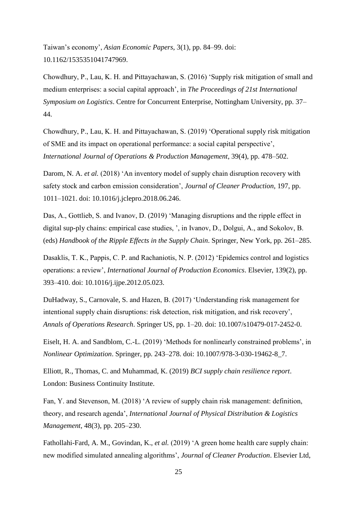Taiwan's economy', *Asian Economic Papers*, 3(1), pp. 84–99. doi: 10.1162/1535351041747969.

Chowdhury, P., Lau, K. H. and Pittayachawan, S. (2016) 'Supply risk mitigation of small and medium enterprises: a social capital approach', in *The Proceedings of 21st International Symposium on Logistics*. Centre for Concurrent Enterprise, Nottingham University, pp. 37– 44.

Chowdhury, P., Lau, K. H. and Pittayachawan, S. (2019) 'Operational supply risk mitigation of SME and its impact on operational performance: a social capital perspective', *International Journal of Operations & Production Management*, 39(4), pp. 478–502.

Darom, N. A. *et al.* (2018) 'An inventory model of supply chain disruption recovery with safety stock and carbon emission consideration', *Journal of Cleaner Production*, 197, pp. 1011–1021. doi: 10.1016/j.jclepro.2018.06.246.

Das, A., Gottlieb, S. and Ivanov, D. (2019) 'Managing disruptions and the ripple effect in digital sup-ply chains: empirical case studies, ', in Ivanov, D., Dolgui, A., and Sokolov, B. (eds) *Handbook of the Ripple Effects in the Supply Chain*. Springer, New York, pp. 261–285.

Dasaklis, T. K., Pappis, C. P. and Rachaniotis, N. P. (2012) 'Epidemics control and logistics operations: a review', *International Journal of Production Economics*. Elsevier, 139(2), pp. 393–410. doi: 10.1016/j.ijpe.2012.05.023.

DuHadway, S., Carnovale, S. and Hazen, B. (2017) 'Understanding risk management for intentional supply chain disruptions: risk detection, risk mitigation, and risk recovery', *Annals of Operations Research*. Springer US, pp. 1–20. doi: 10.1007/s10479-017-2452-0.

Eiselt, H. A. and Sandblom, C.-L. (2019) 'Methods for nonlinearly constrained problems', in *Nonlinear Optimization*. Springer, pp. 243–278. doi: 10.1007/978-3-030-19462-8\_7.

Elliott, R., Thomas, C. and Muhammad, K. (2019) *BCI supply chain resilience report*. London: Business Continuity Institute.

Fan, Y. and Stevenson, M. (2018) 'A review of supply chain risk management: definition, theory, and research agenda', *International Journal of Physical Distribution & Logistics Management*, 48(3), pp. 205–230.

Fathollahi-Fard, A. M., Govindan, K., *et al.* (2019) 'A green home health care supply chain: new modified simulated annealing algorithms', *Journal of Cleaner Production*. Elsevier Ltd,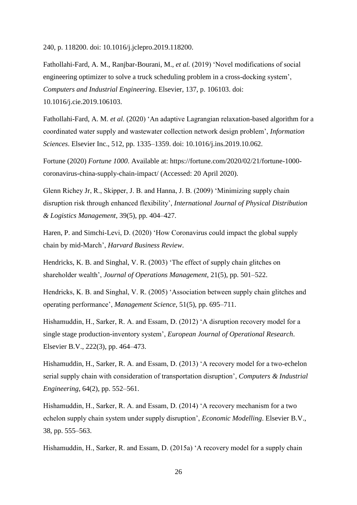240, p. 118200. doi: 10.1016/j.jclepro.2019.118200.

Fathollahi-Fard, A. M., Ranjbar-Bourani, M., *et al.* (2019) 'Novel modifications of social engineering optimizer to solve a truck scheduling problem in a cross-docking system', *Computers and Industrial Engineering*. Elsevier, 137, p. 106103. doi: 10.1016/j.cie.2019.106103.

Fathollahi-Fard, A. M. *et al.* (2020) 'An adaptive Lagrangian relaxation-based algorithm for a coordinated water supply and wastewater collection network design problem', *Information Sciences*. Elsevier Inc., 512, pp. 1335–1359. doi: 10.1016/j.ins.2019.10.062.

Fortune (2020) *Fortune 1000*. Available at: https://fortune.com/2020/02/21/fortune-1000 coronavirus-china-supply-chain-impact/ (Accessed: 20 April 2020).

Glenn Richey Jr, R., Skipper, J. B. and Hanna, J. B. (2009) 'Minimizing supply chain disruption risk through enhanced flexibility', *International Journal of Physical Distribution & Logistics Management*, 39(5), pp. 404–427.

Haren, P. and Simchi-Levi, D. (2020) 'How Coronavirus could impact the global supply chain by mid-March', *Harvard Business Review*.

Hendricks, K. B. and Singhal, V. R. (2003) 'The effect of supply chain glitches on shareholder wealth', *Journal of Operations Management*, 21(5), pp. 501–522.

Hendricks, K. B. and Singhal, V. R. (2005) 'Association between supply chain glitches and operating performance', *Management Science*, 51(5), pp. 695–711.

Hishamuddin, H., Sarker, R. A. and Essam, D. (2012) 'A disruption recovery model for a single stage production-inventory system', *European Journal of Operational Research*. Elsevier B.V., 222(3), pp. 464–473.

Hishamuddin, H., Sarker, R. A. and Essam, D. (2013) 'A recovery model for a two-echelon serial supply chain with consideration of transportation disruption', *Computers & Industrial Engineering*, 64(2), pp. 552–561.

Hishamuddin, H., Sarker, R. A. and Essam, D. (2014) 'A recovery mechanism for a two echelon supply chain system under supply disruption', *Economic Modelling*. Elsevier B.V., 38, pp. 555–563.

Hishamuddin, H., Sarker, R. and Essam, D. (2015a) 'A recovery model for a supply chain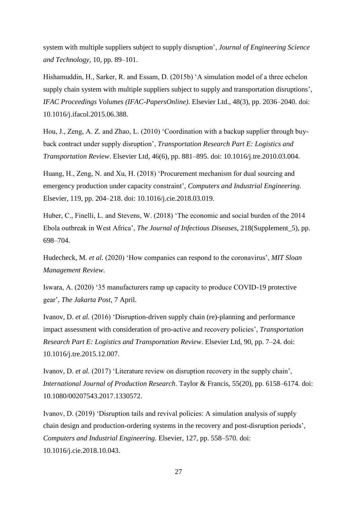system with multiple suppliers subject to supply disruption', *Journal of Engineering Science and Technology*, 10, pp. 89–101.

Hishamuddin, H., Sarker, R. and Essam, D. (2015b) 'A simulation model of a three echelon supply chain system with multiple suppliers subject to supply and transportation disruptions', *IFAC Proceedings Volumes (IFAC-PapersOnline)*. Elsevier Ltd., 48(3), pp. 2036–2040. doi: 10.1016/j.ifacol.2015.06.388.

Hou, J., Zeng, A. Z. and Zhao, L. (2010) 'Coordination with a backup supplier through buyback contract under supply disruption', *Transportation Research Part E: Logistics and Transportation Review*. Elsevier Ltd, 46(6), pp. 881–895. doi: 10.1016/j.tre.2010.03.004.

Huang, H., Zeng, N. and Xu, H. (2018) 'Procurement mechanism for dual sourcing and emergency production under capacity constraint', *Computers and Industrial Engineering*. Elsevier, 119, pp. 204–218. doi: 10.1016/j.cie.2018.03.019.

Huber, C., Finelli, L. and Stevens, W. (2018) 'The economic and social burden of the 2014 Ebola outbreak in West Africa', *The Journal of Infectious Diseases*, 218(Supplement\_5), pp. 698–704.

Hudecheck, M. *et al.* (2020) 'How companies can respond to the coronavirus', *MIT Sloan Management Review*.

Iswara, A. (2020) '35 manufacturers ramp up capacity to produce COVID-19 protective gear', *The Jakarta Post*, 7 April.

Ivanov, D. *et al.* (2016) 'Disruption-driven supply chain (re)-planning and performance impact assessment with consideration of pro-active and recovery policies', *Transportation Research Part E: Logistics and Transportation Review*. Elsevier Ltd, 90, pp. 7–24. doi: 10.1016/j.tre.2015.12.007.

Ivanov, D. *et al.* (2017) 'Literature review on disruption recovery in the supply chain', *International Journal of Production Research*. Taylor & Francis, 55(20), pp. 6158–6174. doi: 10.1080/00207543.2017.1330572.

Ivanov, D. (2019) 'Disruption tails and revival policies: A simulation analysis of supply chain design and production-ordering systems in the recovery and post-disruption periods', *Computers and Industrial Engineering*. Elsevier, 127, pp. 558–570. doi: 10.1016/j.cie.2018.10.043.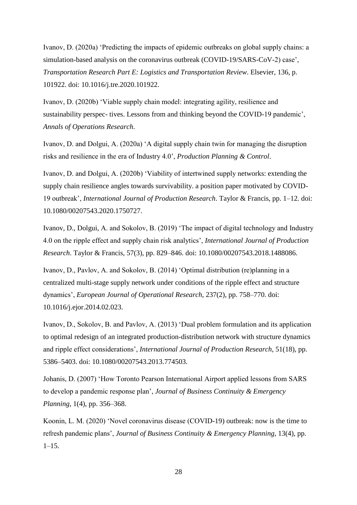Ivanov, D. (2020a) 'Predicting the impacts of epidemic outbreaks on global supply chains: a simulation-based analysis on the coronavirus outbreak (COVID-19/SARS-CoV-2) case', *Transportation Research Part E: Logistics and Transportation Review*. Elsevier, 136, p. 101922. doi: 10.1016/j.tre.2020.101922.

Ivanov, D. (2020b) 'Viable supply chain model: integrating agility, resilience and sustainability perspec- tives. Lessons from and thinking beyond the COVID-19 pandemic', *Annals of Operations Research*.

Ivanov, D. and Dolgui, A. (2020a) 'A digital supply chain twin for managing the disruption risks and resilience in the era of Industry 4.0', *Production Planning & Control*.

Ivanov, D. and Dolgui, A. (2020b) 'Viability of intertwined supply networks: extending the supply chain resilience angles towards survivability. a position paper motivated by COVID-19 outbreak', *International Journal of Production Research*. Taylor & Francis, pp. 1–12. doi: 10.1080/00207543.2020.1750727.

Ivanov, D., Dolgui, A. and Sokolov, B. (2019) 'The impact of digital technology and Industry 4.0 on the ripple effect and supply chain risk analytics', *International Journal of Production Research*. Taylor & Francis, 57(3), pp. 829–846. doi: 10.1080/00207543.2018.1488086.

Ivanov, D., Pavlov, A. and Sokolov, B. (2014) 'Optimal distribution (re)planning in a centralized multi-stage supply network under conditions of the ripple effect and structure dynamics', *European Journal of Operational Research*, 237(2), pp. 758–770. doi: 10.1016/j.ejor.2014.02.023.

Ivanov, D., Sokolov, B. and Pavlov, A. (2013) 'Dual problem formulation and its application to optimal redesign of an integrated production-distribution network with structure dynamics and ripple effect considerations', *International Journal of Production Research*, 51(18), pp. 5386–5403. doi: 10.1080/00207543.2013.774503.

Johanis, D. (2007) 'How Toronto Pearson International Airport applied lessons from SARS to develop a pandemic response plan', *Journal of Business Continuity & Emergency Planning*, 1(4), pp. 356–368.

Koonin, L. M. (2020) 'Novel coronavirus disease (COVID-19) outbreak: now is the time to refresh pandemic plans', *Journal of Business Continuity & Emergency Planning*, 13(4), pp. 1–15.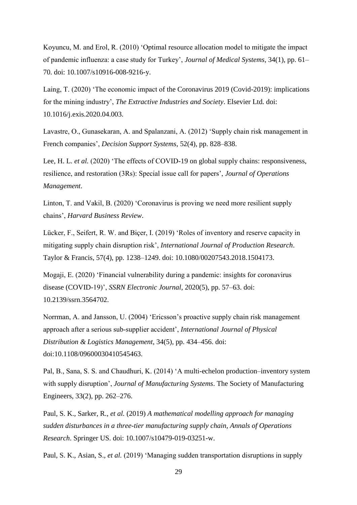Koyuncu, M. and Erol, R. (2010) 'Optimal resource allocation model to mitigate the impact of pandemic influenza: a case study for Turkey', *Journal of Medical Systems*, 34(1), pp. 61– 70. doi: 10.1007/s10916-008-9216-y.

Laing, T. (2020) 'The economic impact of the Coronavirus 2019 (Covid-2019): implications for the mining industry', *The Extractive Industries and Society*. Elsevier Ltd. doi: 10.1016/j.exis.2020.04.003.

Lavastre, O., Gunasekaran, A. and Spalanzani, A. (2012) 'Supply chain risk management in French companies', *Decision Support Systems*, 52(4), pp. 828–838.

Lee, H. L. *et al.* (2020) 'The effects of COVID-19 on global supply chains: responsiveness, resilience, and restoration (3Rs): Special issue call for papers', *Journal of Operations Management*.

Linton, T. and Vakil, B. (2020) 'Coronavirus is proving we need more resilient supply chains', *Harvard Business Review*.

Lücker, F., Seifert, R. W. and Biçer, I. (2019) 'Roles of inventory and reserve capacity in mitigating supply chain disruption risk', *International Journal of Production Research*. Taylor & Francis, 57(4), pp. 1238–1249. doi: 10.1080/00207543.2018.1504173.

Mogaji, E. (2020) 'Financial vulnerability during a pandemic: insights for coronavirus disease (COVID-19)', *SSRN Electronic Journal*, 2020(5), pp. 57–63. doi: 10.2139/ssrn.3564702.

Norrman, A. and Jansson, U. (2004) 'Ericsson's proactive supply chain risk management approach after a serious sub‐supplier accident', *International Journal of Physical Distribution & Logistics Management*, 34(5), pp. 434–456. doi: doi:10.1108/09600030410545463.

Pal, B., Sana, S. S. and Chaudhuri, K. (2014) 'A multi-echelon production–inventory system with supply disruption', *Journal of Manufacturing Systems*. The Society of Manufacturing Engineers, 33(2), pp. 262–276.

Paul, S. K., Sarker, R., *et al.* (2019) *A mathematical modelling approach for managing sudden disturbances in a three-tier manufacturing supply chain*, *Annals of Operations Research*. Springer US. doi: 10.1007/s10479-019-03251-w.

Paul, S. K., Asian, S., *et al.* (2019) 'Managing sudden transportation disruptions in supply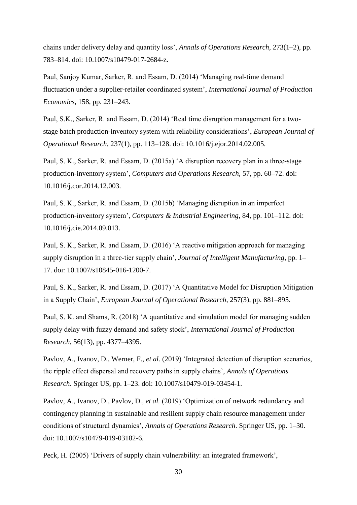chains under delivery delay and quantity loss', *Annals of Operations Research*, 273(1–2), pp. 783–814. doi: 10.1007/s10479-017-2684-z.

Paul, Sanjoy Kumar, Sarker, R. and Essam, D. (2014) 'Managing real-time demand fluctuation under a supplier-retailer coordinated system', *International Journal of Production Economics*, 158, pp. 231–243.

Paul, S.K., Sarker, R. and Essam, D. (2014) 'Real time disruption management for a twostage batch production-inventory system with reliability considerations', *European Journal of Operational Research*, 237(1), pp. 113–128. doi: 10.1016/j.ejor.2014.02.005.

Paul, S. K., Sarker, R. and Essam, D. (2015a) 'A disruption recovery plan in a three-stage production-inventory system', *Computers and Operations Research*, 57, pp. 60–72. doi: 10.1016/j.cor.2014.12.003.

Paul, S. K., Sarker, R. and Essam, D. (2015b) 'Managing disruption in an imperfect production-inventory system', *Computers & Industrial Engineering*, 84, pp. 101–112. doi: 10.1016/j.cie.2014.09.013.

Paul, S. K., Sarker, R. and Essam, D. (2016) 'A reactive mitigation approach for managing supply disruption in a three-tier supply chain', *Journal of Intelligent Manufacturing*, pp. 1– 17. doi: 10.1007/s10845-016-1200-7.

Paul, S. K., Sarker, R. and Essam, D. (2017) 'A Quantitative Model for Disruption Mitigation in a Supply Chain', *European Journal of Operational Research*, 257(3), pp. 881–895.

Paul, S. K. and Shams, R. (2018) 'A quantitative and simulation model for managing sudden supply delay with fuzzy demand and safety stock', *International Journal of Production Research*, 56(13), pp. 4377–4395.

Pavlov, A., Ivanov, D., Werner, F., *et al.* (2019) 'Integrated detection of disruption scenarios, the ripple effect dispersal and recovery paths in supply chains', *Annals of Operations Research*. Springer US, pp. 1–23. doi: 10.1007/s10479-019-03454-1.

Pavlov, A., Ivanov, D., Pavlov, D., *et al.* (2019) 'Optimization of network redundancy and contingency planning in sustainable and resilient supply chain resource management under conditions of structural dynamics', *Annals of Operations Research*. Springer US, pp. 1–30. doi: 10.1007/s10479-019-03182-6.

Peck, H. (2005) 'Drivers of supply chain vulnerability: an integrated framework',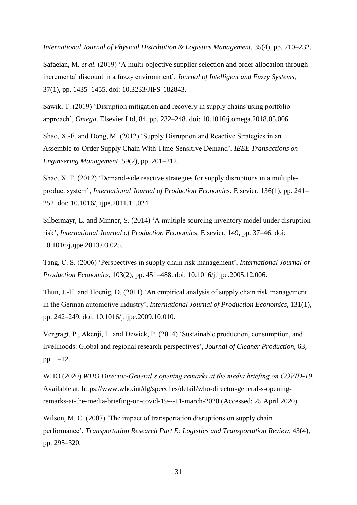*International Journal of Physical Distribution & Logistics Management*, 35(4), pp. 210–232.

Safaeian, M. *et al.* (2019) 'A multi-objective supplier selection and order allocation through incremental discount in a fuzzy environment', *Journal of Intelligent and Fuzzy Systems*, 37(1), pp. 1435–1455. doi: 10.3233/JIFS-182843.

Sawik, T. (2019) 'Disruption mitigation and recovery in supply chains using portfolio approach', *Omega*. Elsevier Ltd, 84, pp. 232–248. doi: 10.1016/j.omega.2018.05.006.

Shao, X.-F. and Dong, M. (2012) 'Supply Disruption and Reactive Strategies in an Assemble-to-Order Supply Chain With Time-Sensitive Demand', *IEEE Transactions on Engineering Management*, 59(2), pp. 201–212.

Shao, X. F. (2012) 'Demand-side reactive strategies for supply disruptions in a multipleproduct system', *International Journal of Production Economics*. Elsevier, 136(1), pp. 241– 252. doi: 10.1016/j.ijpe.2011.11.024.

Silbermayr, L. and Minner, S. (2014) 'A multiple sourcing inventory model under disruption risk', *International Journal of Production Economics*. Elsevier, 149, pp. 37–46. doi: 10.1016/j.ijpe.2013.03.025.

Tang, C. S. (2006) 'Perspectives in supply chain risk management', *International Journal of Production Economics*, 103(2), pp. 451–488. doi: 10.1016/j.ijpe.2005.12.006.

Thun, J.-H. and Hoenig, D. (2011) 'An empirical analysis of supply chain risk management in the German automotive industry', *International Journal of Production Economics*, 131(1), pp. 242–249. doi: 10.1016/j.ijpe.2009.10.010.

Vergragt, P., Akenji, L. and Dewick, P. (2014) 'Sustainable production, consumption, and livelihoods: Global and regional research perspectives', *Journal of Cleaner Production*, 63, pp. 1–12.

WHO (2020) *WHO Director-General's opening remarks at the media briefing on COVID-19*. Available at: https://www.who.int/dg/speeches/detail/who-director-general-s-openingremarks-at-the-media-briefing-on-covid-19---11-march-2020 (Accessed: 25 April 2020).

Wilson, M. C. (2007) 'The impact of transportation disruptions on supply chain performance', *Transportation Research Part E: Logistics and Transportation Review*, 43(4), pp. 295–320.